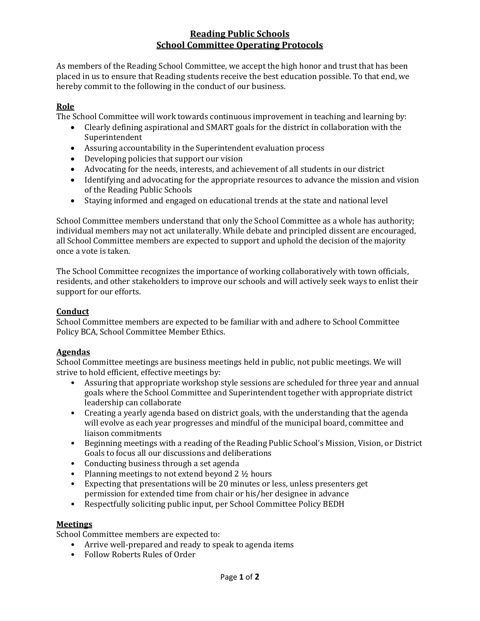# **Reading Public Schools School Committee Operating Protocols**

As members of the Reading School Committee, we accept the high honor and trust that has been placed in us to ensure that Reading students receive the best education possible. To that end, we hereby commit to the following in the conduct of our business.

## **Role**

The School Committee will work towards continuous improvement in teaching and learning by:

- Clearly defining aspirational and SMART goals for the district in collaboration with the Superintendent
- Assuring accountability in the Superintendent evaluation process
- Developing policies that support our vision
- Advocating for the needs, interests, and achievement of all students in our district
- Identifying and advocating for the appropriate resources to advance the mission and vision of the Reading Public Schools
- Staying informed and engaged on educational trends at the state and national level

School Committee members understand that only the School Committee as a whole has authority; individual members may not act unilaterally. While debate and principled dissent are encouraged, all School Committee members are expected to support and uphold the decision of the majority once a vote is taken.

The School Committee recognizes the importance of working collaboratively with town officials, residents, and other stakeholders to improve our schools and will actively seek ways to enlist their support for our efforts.

### **Conduct**

School Committee members are expected to be familiar with and adhere to School Committee Policy BCA, School Committee Member Ethics.

#### **Agendas**

School Committee meetings are business meetings held in public, not public meetings. We will strive to hold efficient, effective meetings by:

- Assuring that appropriate workshop style sessions are scheduled for three year and annual goals where the School Committee and Superintendent together with appropriate district leadership can collaborate
- Creating a yearly agenda based on district goals, with the understanding that the agenda will evolve as each year progresses and mindful of the municipal board, committee and liaison commitments
- Beginning meetings with a reading of the Reading Public School's Mission, Vision, or District Goals to focus all our discussions and deliberations
- Conducting business through a set agenda
- Planning meetings to not extend beyond  $2\frac{1}{2}$  hours
- Expecting that presentations will be 20 minutes or less, unless presenters get permission for extended time from chair or his/her designee in advance
- Respectfully soliciting public input, per School Committee Policy BEDH

#### **Meetings**

School Committee members are expected to:

- Arrive well-prepared and ready to speak to agenda items
- Follow Roberts Rules of Order